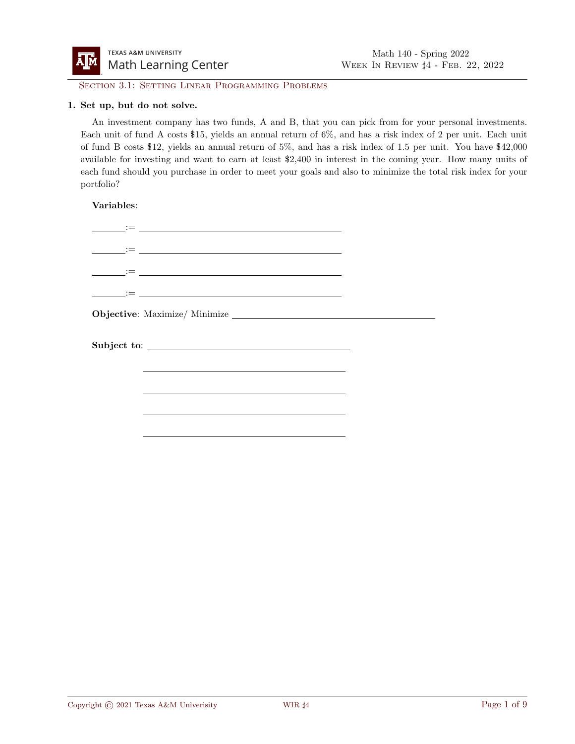

SECTION 3.1: SETTING LINEAR PROGRAMMING PROBLEMS

### 1. Set up, but do not solve.

An investment company has two funds, A and B, that you can pick from for your personal investments. Each unit of fund A costs \$15, yields an annual return of 6%, and has a risk index of 2 per unit. Each unit of fund B costs \$12, yields an annual return of 5%, and has a risk index of 1.5 per unit. You have \$42,000 available for investing and want to earn at least \$2,400 in interest in the coming year. How many units of each fund should you purchase in order to meet your goals and also to minimize the total risk index for your portfolio?

| <u> 1992 - Jan Samuel Barbara, politikar politikar (</u>                                                                                                                                                                      |  |
|-------------------------------------------------------------------------------------------------------------------------------------------------------------------------------------------------------------------------------|--|
| <u> 1999 - Jan Jawa Barat, pamangan sa Indonesia.</u><br>1990 - Jan Jawa Barat, pamangan sa Indonesia.                                                                                                                        |  |
|                                                                                                                                                                                                                               |  |
| <u> Louis (Film and Starting and Starting and Starting and Starting and Starting and Starting and Starting and S</u>                                                                                                          |  |
|                                                                                                                                                                                                                               |  |
|                                                                                                                                                                                                                               |  |
| and the control of the control of the control of the control of the control of the control of the control of the                                                                                                              |  |
| the control of the control of the control of the control of the control of the control of the control of the control of the control of the control of the control of the control of the control of the control of the control |  |
|                                                                                                                                                                                                                               |  |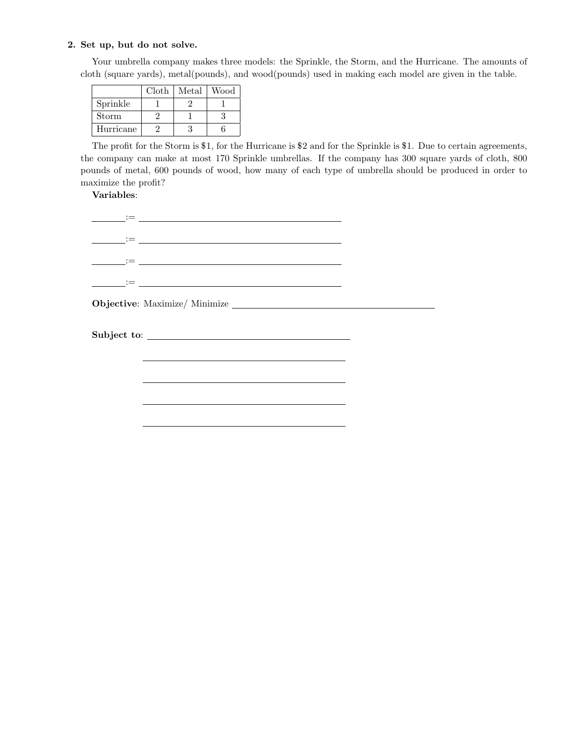Your umbrella company makes three models: the Sprinkle, the Storm, and the Hurricane. The amounts of cloth (square yards), metal(pounds), and wood(pounds) used in making each model are given in the table.

|           | Cloth | Metal | Wood |
|-----------|-------|-------|------|
| Sprinkle  |       |       |      |
| Storm     |       |       |      |
| Hurricane |       |       |      |

The profit for the Storm is \$1, for the Hurricane is \$2 and for the Sprinkle is \$1. Due to certain agreements, the company can make at most 170 Sprinkle umbrellas. If the company has 300 square yards of cloth, 800 pounds of metal, 600 pounds of wood, how many of each type of umbrella should be produced in order to maximize the profit?

| <u> 1989 - Johann Harry Barn, mars and deutscher Statistike († 1908)</u>                                                  |  |  |
|---------------------------------------------------------------------------------------------------------------------------|--|--|
|                                                                                                                           |  |  |
|                                                                                                                           |  |  |
| 1000 - 1000 <del>- 100</del> 0 - 1000 - 1000 - 1000 - 1000 - 1000 - 1000 - 1000 - 1000 - 1000 - 1000 - 1000 - 1000 - 1000 |  |  |
|                                                                                                                           |  |  |
| Subject to:                                                                                                               |  |  |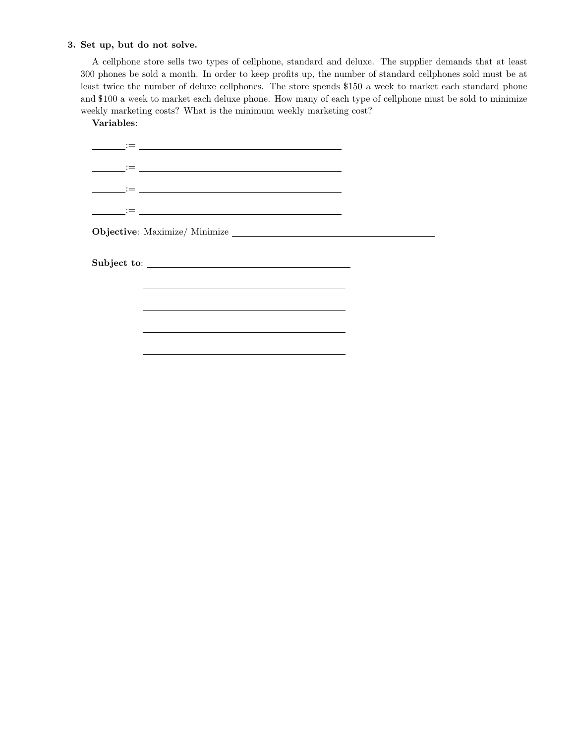A cellphone store sells two types of cellphone, standard and deluxe. The supplier demands that at least 300 phones be sold a month. In order to keep profits up, the number of standard cellphones sold must be at least twice the number of deluxe cellphones. The store spends \$150 a week to market each standard phone and \$100 a week to market each deluxe phone. How many of each type of cellphone must be sold to minimize weekly marketing costs? What is the minimum weekly marketing cost?

Variables:

:= := := := Objective: Maximize/ Minimize Subject to: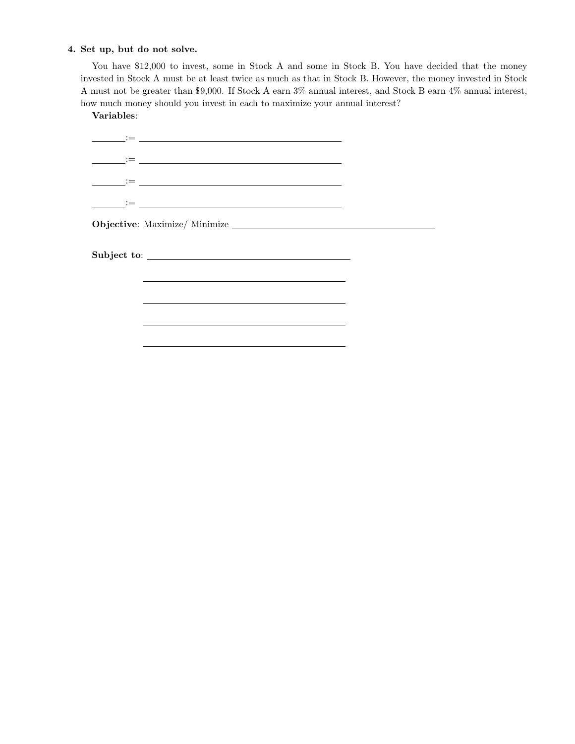You have \$12,000 to invest, some in Stock A and some in Stock B. You have decided that the money invested in Stock A must be at least twice as much as that in Stock B. However, the money invested in Stock A must not be greater than \$9,000. If Stock A earn 3% annual interest, and Stock B earn 4% annual interest, how much money should you invest in each to maximize your annual interest?

| the control of the control of the control of the control of the control of the control of the control of the control of the control of the control of the control of the control of the control of the control of the control |  |
|-------------------------------------------------------------------------------------------------------------------------------------------------------------------------------------------------------------------------------|--|
| and the control of the control of the control of the control of the control of the control of the control of the                                                                                                              |  |
|                                                                                                                                                                                                                               |  |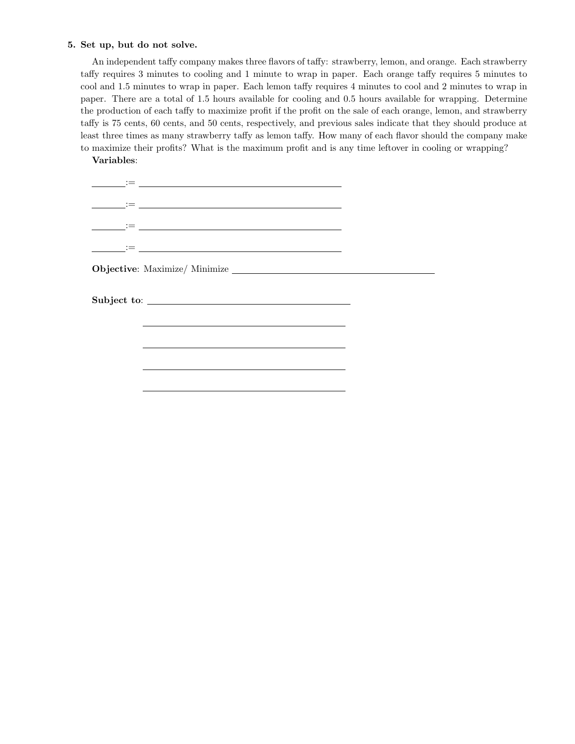An independent taffy company makes three flavors of taffy: strawberry, lemon, and orange. Each strawberry taffy requires 3 minutes to cooling and 1 minute to wrap in paper. Each orange taffy requires 5 minutes to cool and 1.5 minutes to wrap in paper. Each lemon taffy requires 4 minutes to cool and 2 minutes to wrap in paper. There are a total of 1.5 hours available for cooling and 0.5 hours available for wrapping. Determine the production of each taffy to maximize profit if the profit on the sale of each orange, lemon, and strawberry taffy is 75 cents, 60 cents, and 50 cents, respectively, and previous sales indicate that they should produce at least three times as many strawberry taffy as lemon taffy. How many of each flavor should the company make to maximize their profits? What is the maximum profit and is any time leftover in cooling or wrapping?

| <u> 1995 - Jan Alexandri, politik američki politik († 1908)</u> |  |
|-----------------------------------------------------------------|--|
|                                                                 |  |
|                                                                 |  |
|                                                                 |  |
|                                                                 |  |
|                                                                 |  |
|                                                                 |  |
|                                                                 |  |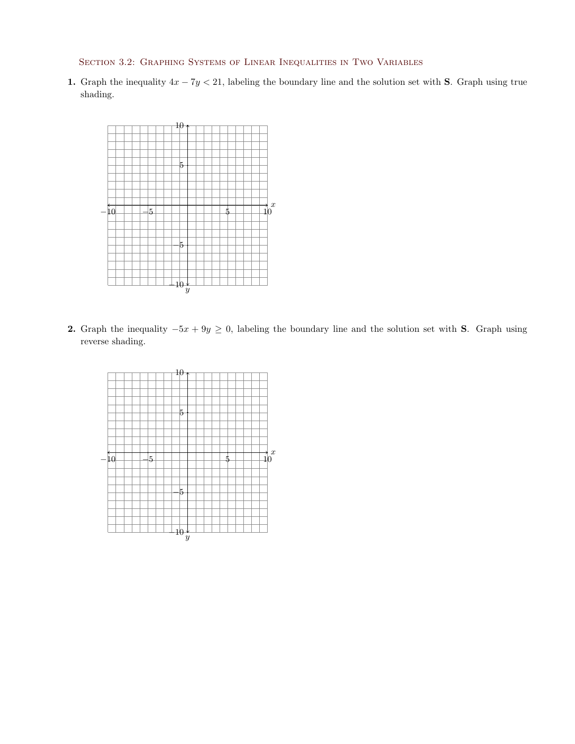Section 3.2: Graphing Systems of Linear Inequalities in Two Variables

1. Graph the inequality  $4x - 7y < 21$ , labeling the boundary line and the solution set with S. Graph using true shading.



2. Graph the inequality  $-5x + 9y \ge 0$ , labeling the boundary line and the solution set with S. Graph using reverse shading.

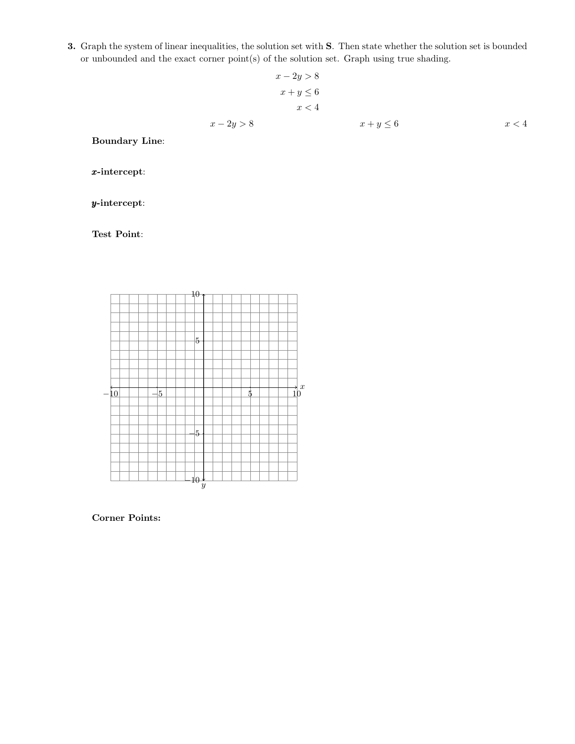3. Graph the system of linear inequalities, the solution set with S. Then state whether the solution set is bounded or unbounded and the exact corner point(s) of the solution set. Graph using true shading.

$$
x - 2y > 8
$$
  
\n
$$
x + y \le 6
$$
  
\n
$$
x < 4
$$
  
\n
$$
x - 2y > 8
$$
  
\n
$$
x + y \le 6
$$
  
\n
$$
x < 4
$$

Boundary Line:

x-intercept:

y-intercept:

Test Point:



Corner Points: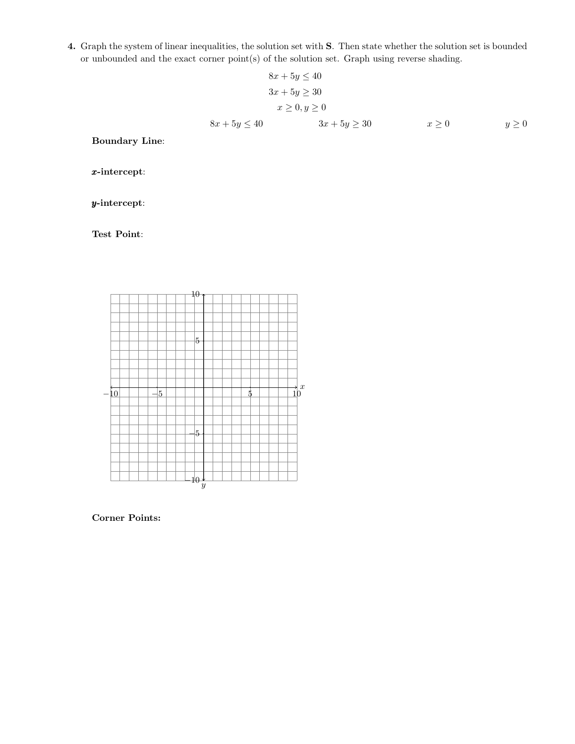4. Graph the system of linear inequalities, the solution set with S. Then state whether the solution set is bounded or unbounded and the exact corner point(s) of the solution set. Graph using reverse shading.

$$
8x + 5y \le 40
$$
  
\n
$$
3x + 5y \ge 30
$$
  
\n
$$
x \ge 0, y \ge 0
$$
  
\n
$$
8x + 5y \le 40
$$
  
\n
$$
3x + 5y \ge 30
$$
  
\n
$$
x \ge 0
$$
  
\n
$$
y \ge 0
$$

Boundary Line:

x-intercept:

y-intercept:

Test Point:



Corner Points: